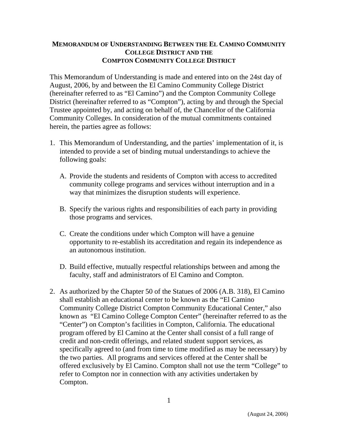## **MEMORANDUM OF UNDERSTANDING BETWEEN THE EL CAMINO COMMUNITY COLLEGE DISTRICT AND THE COMPTON COMMUNITY COLLEGE DISTRICT**

This Memorandum of Understanding is made and entered into on the 24st day of August, 2006, by and between the El Camino Community College District (hereinafter referred to as "El Camino") and the Compton Community College District (hereinafter referred to as "Compton"), acting by and through the Special Trustee appointed by, and acting on behalf of, the Chancellor of the California Community Colleges. In consideration of the mutual commitments contained herein, the parties agree as follows:

- 1. This Memorandum of Understanding, and the parties' implementation of it, is intended to provide a set of binding mutual understandings to achieve the following goals:
	- A. Provide the students and residents of Compton with access to accredited community college programs and services without interruption and in a way that minimizes the disruption students will experience.
	- B. Specify the various rights and responsibilities of each party in providing those programs and services.
	- C. Create the conditions under which Compton will have a genuine opportunity to re-establish its accreditation and regain its independence as an autonomous institution.
	- D. Build effective, mutually respectful relationships between and among the faculty, staff and administrators of El Camino and Compton.
- 2. As authorized by the Chapter 50 of the Statues of 2006 (A.B. 318), El Camino shall establish an educational center to be known as the "El Camino Community College District Compton Community Educational Center," also known as "El Camino College Compton Center" (hereinafter referred to as the "Center") on Compton's facilities in Compton, California. The educational program offered by El Camino at the Center shall consist of a full range of credit and non-credit offerings, and related student support services, as specifically agreed to (and from time to time modified as may be necessary) by the two parties. All programs and services offered at the Center shall be offered exclusively by El Camino. Compton shall not use the term "College" to refer to Compton nor in connection with any activities undertaken by Compton.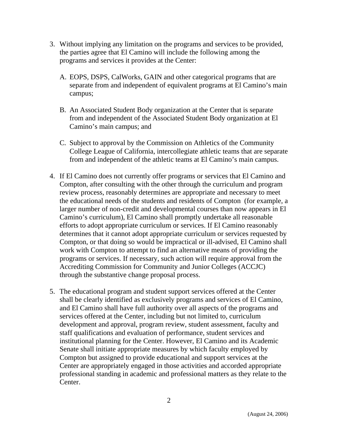- 3. Without implying any limitation on the programs and services to be provided, the parties agree that El Camino will include the following among the programs and services it provides at the Center:
	- A. EOPS, DSPS, CalWorks, GAIN and other categorical programs that are separate from and independent of equivalent programs at El Camino's main campus;
	- B. An Associated Student Body organization at the Center that is separate from and independent of the Associated Student Body organization at El Camino's main campus; and
	- C. Subject to approval by the Commission on Athletics of the Community College League of California, intercollegiate athletic teams that are separate from and independent of the athletic teams at El Camino's main campus.
- 4. If El Camino does not currently offer programs or services that El Camino and Compton, after consulting with the other through the curriculum and program review process, reasonably determines are appropriate and necessary to meet the educational needs of the students and residents of Compton (for example, a larger number of non-credit and developmental courses than now appears in El Camino's curriculum), El Camino shall promptly undertake all reasonable efforts to adopt appropriate curriculum or services. If El Camino reasonably determines that it cannot adopt appropriate curriculum or services requested by Compton, or that doing so would be impractical or ill-advised, El Camino shall work with Compton to attempt to find an alternative means of providing the programs or services. If necessary, such action will require approval from the Accrediting Commission for Community and Junior Colleges (ACCJC) through the substantive change proposal process.
- 5. The educational program and student support services offered at the Center shall be clearly identified as exclusively programs and services of El Camino, and El Camino shall have full authority over all aspects of the programs and services offered at the Center, including but not limited to, curriculum development and approval, program review, student assessment, faculty and staff qualifications and evaluation of performance, student services and institutional planning for the Center. However, El Camino and its Academic Senate shall initiate appropriate measures by which faculty employed by Compton but assigned to provide educational and support services at the Center are appropriately engaged in those activities and accorded appropriate professional standing in academic and professional matters as they relate to the Center.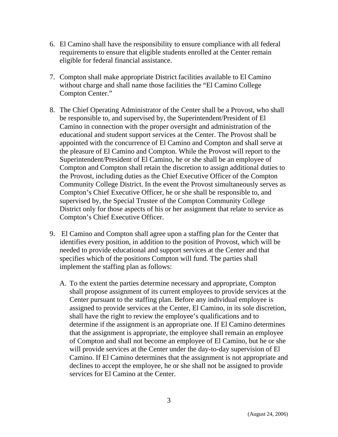- 6. El Camino shall have the responsibility to ensure compliance with all federal requirements to ensure that eligible students enrolled at the Center remain eligible for federal financial assistance.
- 7. Compton shall make appropriate District facilities available to El Camino without charge and shall name those facilities the "El Camino College Compton Center."
- 8. The Chief Operating Administrator of the Center shall be a Provost, who shall be responsible to, and supervised by, the Superintendent/President of El Camino in connection with the proper oversight and administration of the educational and student support services at the Center. The Provost shall be appointed with the concurrence of El Camino and Compton and shall serve at the pleasure of El Camino and Compton. While the Provost will report to the Superintendent/President of El Camino, he or she shall be an employee of Compton and Compton shall retain the discretion to assign additional duties to the Provost, including duties as the Chief Executive Officer of the Compton Community College District. In the event the Provost simultaneously serves as Compton's Chief Executive Officer, he or she shall be responsible to, and supervised by, the Special Trustee of the Compton Community College District only for those aspects of his or her assignment that relate to service as Compton's Chief Executive Officer.
- 9. El Camino and Compton shall agree upon a staffing plan for the Center that identifies every position, in addition to the position of Provost, which will be needed to provide educational and support services at the Center and that specifies which of the positions Compton will fund. The parties shall implement the staffing plan as follows:
	- A. To the extent the parties determine necessary and appropriate, Compton shall propose assignment of its current employees to provide services at the Center pursuant to the staffing plan. Before any individual employee is assigned to provide services at the Center, El Camino, in its sole discretion, shall have the right to review the employee's qualifications and to determine if the assignment is an appropriate one. If El Camino determines that the assignment is appropriate, the employee shall remain an employee of Compton and shall not become an employee of El Camino, but he or she will provide services at the Center under the day-to-day supervision of El Camino. If El Camino determines that the assignment is not appropriate and declines to accept the employee, he or she shall not be assigned to provide services for El Camino at the Center.

(August 24, 2006)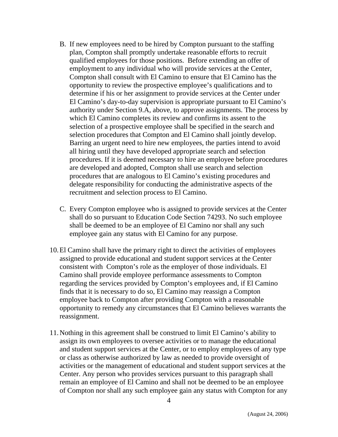- B. If new employees need to be hired by Compton pursuant to the staffing plan, Compton shall promptly undertake reasonable efforts to recruit qualified employees for those positions. Before extending an offer of employment to any individual who will provide services at the Center, Compton shall consult with El Camino to ensure that El Camino has the opportunity to review the prospective employee's qualifications and to determine if his or her assignment to provide services at the Center under El Camino's day-to-day supervision is appropriate pursuant to El Camino's authority under Section 9.A, above, to approve assignments. The process by which El Camino completes its review and confirms its assent to the selection of a prospective employee shall be specified in the search and selection procedures that Compton and El Camino shall jointly develop. Barring an urgent need to hire new employees, the parties intend to avoid all hiring until they have developed appropriate search and selection procedures. If it is deemed necessary to hire an employee before procedures are developed and adopted, Compton shall use search and selection procedures that are analogous to El Camino's existing procedures and delegate responsibility for conducting the administrative aspects of the recruitment and selection process to El Camino.
- C. Every Compton employee who is assigned to provide services at the Center shall do so pursuant to Education Code Section 74293. No such employee shall be deemed to be an employee of El Camino nor shall any such employee gain any status with El Camino for any purpose.
- 10. El Camino shall have the primary right to direct the activities of employees assigned to provide educational and student support services at the Center consistent with Compton's role as the employer of those individuals. El Camino shall provide employee performance assessments to Compton regarding the services provided by Compton's employees and, if El Camino finds that it is necessary to do so, El Camino may reassign a Compton employee back to Compton after providing Compton with a reasonable opportunity to remedy any circumstances that El Camino believes warrants the reassignment.
- 11. Nothing in this agreement shall be construed to limit El Camino's ability to assign its own employees to oversee activities or to manage the educational and student support services at the Center, or to employ employees of any type or class as otherwise authorized by law as needed to provide oversight of activities or the management of educational and student support services at the Center. Any person who provides services pursuant to this paragraph shall remain an employee of El Camino and shall not be deemed to be an employee of Compton nor shall any such employee gain any status with Compton for any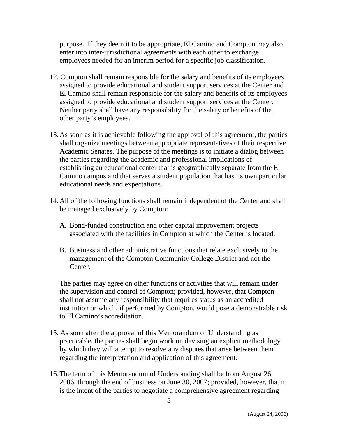purpose. If they deem it to be appropriate, El Camino and Compton may also enter into inter-jurisdictional agreements with each other to exchange employees needed for an interim period for a specific job classification.

- 12. Compton shall remain responsible for the salary and benefits of its employees assigned to provide educational and student support services at the Center and El Camino shall remain responsible for the salary and benefits of its employees assigned to provide educational and student support services at the Center. Neither party shall have any responsibility for the salary or benefits of the other party's employees.
- 13. As soon as it is achievable following the approval of this agreement, the parties shall organize meetings between appropriate representatives of their respective Academic Senates. The purpose of the meetings is to initiate a dialog between the parties regarding the academic and professional implications of establishing an educational center that is geographically separate from the El Camino campus and that serves a student population that has its own particular educational needs and expectations.
- 14. All of the following functions shall remain independent of the Center and shall be managed exclusively by Compton:
	- A. Bond-funded construction and other capital improvement projects associated with the facilities in Compton at which the Center is located.
	- B. Business and other administrative functions that relate exclusively to the management of the Compton Community College District and not the Center.

The parties may agree on other functions or activities that will remain under the supervision and control of Compton; provided, however, that Compton shall not assume any responsibility that requires status as an accredited institution or which, if performed by Compton, would pose a demonstrable risk to El Camino's accreditation.

- 15. As soon after the approval of this Memorandum of Understanding as practicable, the parties shall begin work on devising an explicit methodology by which they will attempt to resolve any disputes that arise between them regarding the interpretation and application of this agreement.
- 16. The term of this Memorandum of Understanding shall be from August 26, 2006, through the end of business on June 30, 2007; provided, however, that it is the intent of the parties to negotiate a comprehensive agreement regarding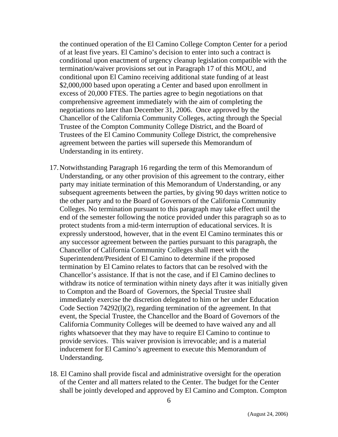the continued operation of the El Camino College Compton Center for a period of at least five years. El Camino's decision to enter into such a contract is conditional upon enactment of urgency cleanup legislation compatible with the termination/waiver provisions set out in Paragraph 17 of this MOU, and conditional upon El Camino receiving additional state funding of at least \$2,000,000 based upon operating a Center and based upon enrollment in excess of 20,000 FTES. The parties agree to begin negotiations on that comprehensive agreement immediately with the aim of completing the negotiations no later than December 31, 2006. Once approved by the Chancellor of the California Community Colleges, acting through the Special Trustee of the Compton Community College District, and the Board of Trustees of the El Camino Community College District, the comprehensive agreement between the parties will supersede this Memorandum of Understanding in its entirety.

- 17. Notwithstanding Paragraph 16 regarding the term of this Memorandum of Understanding, or any other provision of this agreement to the contrary, either party may initiate termination of this Memorandum of Understanding, or any subsequent agreements between the parties, by giving 90 days written notice to the other party and to the Board of Governors of the California Community Colleges. No termination pursuant to this paragraph may take effect until the end of the semester following the notice provided under this paragraph so as to protect students from a mid-term interruption of educational services. It is expressly understood, however, that in the event El Camino terminates this or any successor agreement between the parties pursuant to this paragraph, the Chancellor of California Community Colleges shall meet with the Superintendent/President of El Camino to determine if the proposed termination by El Camino relates to factors that can be resolved with the Chancellor's assistance. If that is not the case, and if El Camino declines to withdraw its notice of termination within ninety days after it was initially given to Compton and the Board of Governors, the Special Trustee shall immediately exercise the discretion delegated to him or her under Education Code Section 74292(l)(2), regarding termination of the agreement. In that event, the Special Trustee, the Chancellor and the Board of Governors of the California Community Colleges will be deemed to have waived any and all rights whatsoever that they may have to require El Camino to continue to provide services. This waiver provision is irrevocable; and is a material inducement for El Camino's agreement to execute this Memorandum of Understanding.
- 18. El Camino shall provide fiscal and administrative oversight for the operation of the Center and all matters related to the Center. The budget for the Center shall be jointly developed and approved by El Camino and Compton. Compton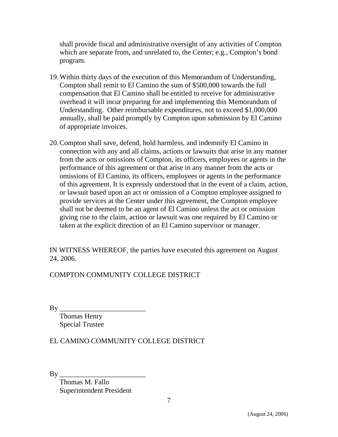shall provide fiscal and administrative oversight of any activities of Compton which are separate from, and unrelated to, the Center; e.g., Compton's bond program.

- 19. Within thirty days of the execution of this Memorandum of Understanding, Compton shall remit to El Camino the sum of \$500,000 towards the full compensation that El Camino shall be entitled to receive for administrative overhead it will incur preparing for and implementing this Memorandum of Understanding. Other reimbursable expenditures, not to exceed \$1,000,000 annually, shall be paid promptly by Compton upon submission by El Camino of appropriate invoices.
- 20. Compton shall save, defend, hold harmless, and indemnify El Camino in connection with any and all claims, actions or lawsuits that arise in any manner from the acts or omissions of Compton, its officers, employees or agents in the performance of this agreement or that arise in any manner from the acts or omissions of El Camino, its officers, employees or agents in the performance of this agreement. It is expressly understood that in the event of a claim, action, or lawsuit based upon an act or omission of a Compton employee assigned to provide services at the Center under this agreement, the Compton employee shall not be deemed to be an agent of El Camino unless the act or omission giving rise to the claim, action or lawsuit was one required by El Camino or taken at the explicit direction of an El Camino supervisor or manager.

IN WITNESS WHEREOF, the parties have executed this agreement on August 24, 2006.

COMPTON COMMUNITY COLLEGE DISTRICT

By \_\_\_\_\_\_\_\_\_\_\_\_\_\_\_\_\_\_\_\_\_\_\_\_

 Thomas Henry Special Trustee

EL CAMINO COMMUNITY COLLEGE DISTRICT

 $Bv$ 

 Thomas M. Fallo Superintendent President